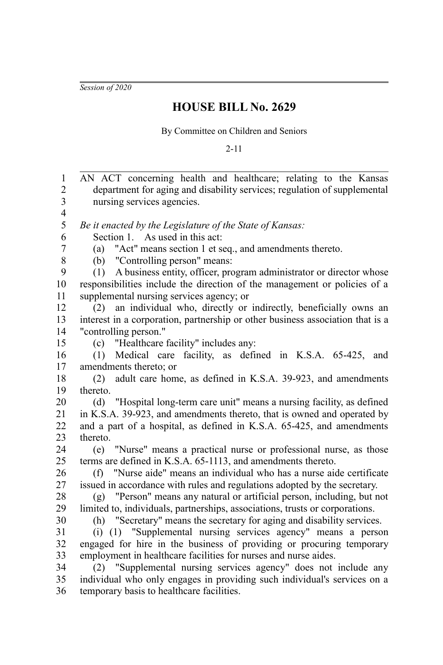*Session of 2020*

## **HOUSE BILL No. 2629**

By Committee on Children and Seniors

2-11

AN ACT concerning health and healthcare; relating to the Kansas department for aging and disability services; regulation of supplemental nursing services agencies. *Be it enacted by the Legislature of the State of Kansas:* Section 1. As used in this act: (a) "Act" means section 1 et seq., and amendments thereto. (b) "Controlling person" means: (1) A business entity, officer, program administrator or director whose responsibilities include the direction of the management or policies of a supplemental nursing services agency; or (2) an individual who, directly or indirectly, beneficially owns an interest in a corporation, partnership or other business association that is a "controlling person." (c) "Healthcare facility" includes any: (1) Medical care facility, as defined in K.S.A. 65-425, and amendments thereto; or (2) adult care home, as defined in K.S.A. 39-923, and amendments thereto. (d) "Hospital long-term care unit" means a nursing facility, as defined in K.S.A. 39-923, and amendments thereto, that is owned and operated by and a part of a hospital, as defined in K.S.A. 65-425, and amendments thereto. (e) "Nurse" means a practical nurse or professional nurse, as those terms are defined in K.S.A. 65-1113, and amendments thereto. (f) "Nurse aide" means an individual who has a nurse aide certificate issued in accordance with rules and regulations adopted by the secretary. (g) "Person" means any natural or artificial person, including, but not limited to, individuals, partnerships, associations, trusts or corporations. (h) "Secretary" means the secretary for aging and disability services. (i) (1) "Supplemental nursing services agency" means a person engaged for hire in the business of providing or procuring temporary employment in healthcare facilities for nurses and nurse aides. (2) "Supplemental nursing services agency" does not include any individual who only engages in providing such individual's services on a temporary basis to healthcare facilities. 1 2 3 4 5 6 7 8 9 10 11 12 13 14 15 16 17 18 19 20 21 22 23  $24$ 25 26 27 28 29 30 31 32 33 34 35 36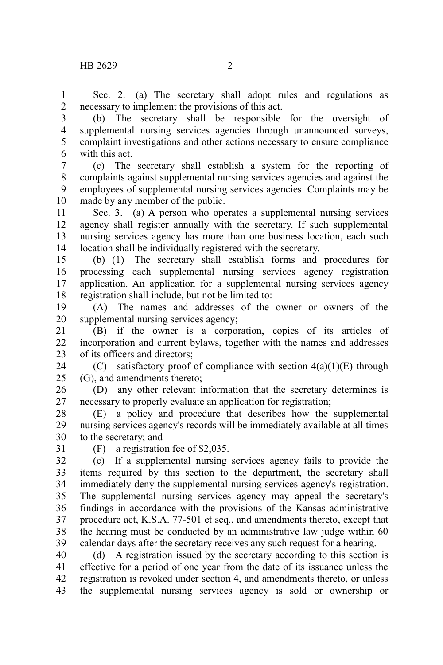Sec. 2. (a) The secretary shall adopt rules and regulations as necessary to implement the provisions of this act. 1 2

(b) The secretary shall be responsible for the oversight of supplemental nursing services agencies through unannounced surveys, complaint investigations and other actions necessary to ensure compliance with this act. 3 4 5 6

(c) The secretary shall establish a system for the reporting of complaints against supplemental nursing services agencies and against the employees of supplemental nursing services agencies. Complaints may be made by any member of the public. 7 8 9 10

Sec. 3. (a) A person who operates a supplemental nursing services agency shall register annually with the secretary. If such supplemental nursing services agency has more than one business location, each such location shall be individually registered with the secretary. 11 12 13 14

(b) (1) The secretary shall establish forms and procedures for processing each supplemental nursing services agency registration application. An application for a supplemental nursing services agency registration shall include, but not be limited to: 15 16 17 18

(A) The names and addresses of the owner or owners of the supplemental nursing services agency; 19 20

(B) if the owner is a corporation, copies of its articles of incorporation and current bylaws, together with the names and addresses of its officers and directors; 21 22 23

(C) satisfactory proof of compliance with section  $4(a)(1)(E)$  through (G), and amendments thereto; 24 25

(D) any other relevant information that the secretary determines is necessary to properly evaluate an application for registration; 26 27

(E) a policy and procedure that describes how the supplemental nursing services agency's records will be immediately available at all times to the secretary; and 28 29 30

31

(F) a registration fee of \$2,035.

(c) If a supplemental nursing services agency fails to provide the items required by this section to the department, the secretary shall immediately deny the supplemental nursing services agency's registration. The supplemental nursing services agency may appeal the secretary's findings in accordance with the provisions of the Kansas administrative procedure act, K.S.A. 77-501 et seq., and amendments thereto, except that the hearing must be conducted by an administrative law judge within 60 calendar days after the secretary receives any such request for a hearing. 32 33 34 35 36 37 38 39

(d) A registration issued by the secretary according to this section is effective for a period of one year from the date of its issuance unless the registration is revoked under section 4, and amendments thereto, or unless the supplemental nursing services agency is sold or ownership or 40 41 42 43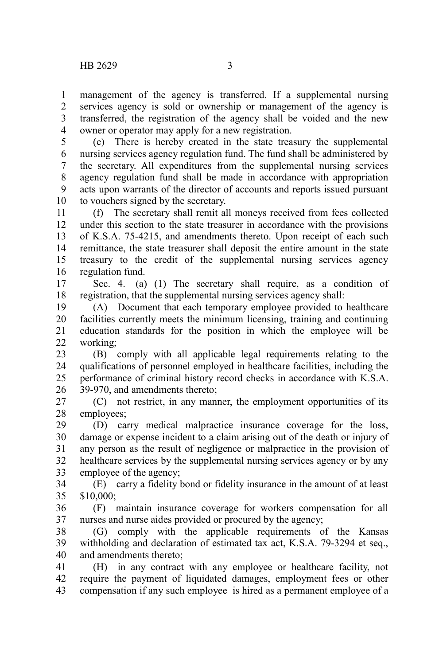management of the agency is transferred. If a supplemental nursing services agency is sold or ownership or management of the agency is transferred, the registration of the agency shall be voided and the new owner or operator may apply for a new registration. 1 2 3 4

(e) There is hereby created in the state treasury the supplemental nursing services agency regulation fund. The fund shall be administered by the secretary. All expenditures from the supplemental nursing services agency regulation fund shall be made in accordance with appropriation acts upon warrants of the director of accounts and reports issued pursuant to vouchers signed by the secretary. 5 6 7 8 9 10

(f) The secretary shall remit all moneys received from fees collected under this section to the state treasurer in accordance with the provisions of K.S.A. 75-4215, and amendments thereto. Upon receipt of each such remittance, the state treasurer shall deposit the entire amount in the state treasury to the credit of the supplemental nursing services agency regulation fund. 11 12 13 14 15 16

Sec. 4. (a) (1) The secretary shall require, as a condition of registration, that the supplemental nursing services agency shall: 17 18

(A) Document that each temporary employee provided to healthcare facilities currently meets the minimum licensing, training and continuing education standards for the position in which the employee will be working; 19 20 21 22

(B) comply with all applicable legal requirements relating to the qualifications of personnel employed in healthcare facilities, including the performance of criminal history record checks in accordance with K.S.A. 39-970, and amendments thereto; 23 24 25 26

(C) not restrict, in any manner, the employment opportunities of its employees; 27 28

(D) carry medical malpractice insurance coverage for the loss, damage or expense incident to a claim arising out of the death or injury of any person as the result of negligence or malpractice in the provision of healthcare services by the supplemental nursing services agency or by any employee of the agency; 29 30 31 32 33

(E) carry a fidelity bond or fidelity insurance in the amount of at least \$10,000; 34 35

(F) maintain insurance coverage for workers compensation for all nurses and nurse aides provided or procured by the agency; 36 37

(G) comply with the applicable requirements of the Kansas withholding and declaration of estimated tax act, K.S.A. 79-3294 et seq., and amendments thereto; 38 39 40

(H) in any contract with any employee or healthcare facility, not require the payment of liquidated damages, employment fees or other compensation if any such employee is hired as a permanent employee of a 41 42 43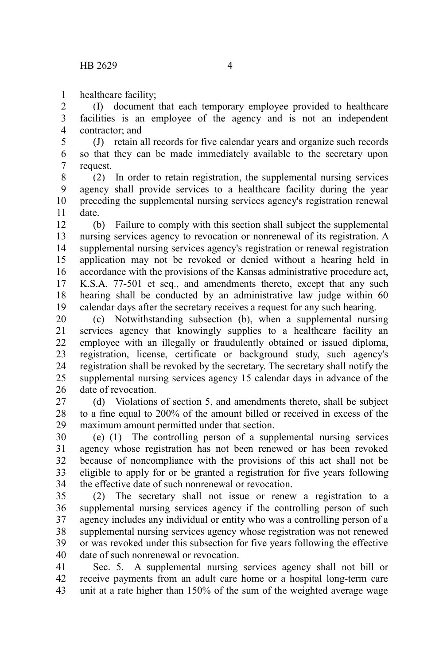healthcare facility; 1

(I) document that each temporary employee provided to healthcare facilities is an employee of the agency and is not an independent contractor; and 2 3 4

(J) retain all records for five calendar years and organize such records so that they can be made immediately available to the secretary upon request. 5 6 7

(2) In order to retain registration, the supplemental nursing services agency shall provide services to a healthcare facility during the year preceding the supplemental nursing services agency's registration renewal date. 8 9 10 11

(b) Failure to comply with this section shall subject the supplemental nursing services agency to revocation or nonrenewal of its registration. A supplemental nursing services agency's registration or renewal registration application may not be revoked or denied without a hearing held in accordance with the provisions of the Kansas administrative procedure act, K.S.A. 77-501 et seq., and amendments thereto, except that any such hearing shall be conducted by an administrative law judge within 60 calendar days after the secretary receives a request for any such hearing. 12 13 14 15 16 17 18 19

(c) Notwithstanding subsection (b), when a supplemental nursing services agency that knowingly supplies to a healthcare facility an employee with an illegally or fraudulently obtained or issued diploma, registration, license, certificate or background study, such agency's registration shall be revoked by the secretary. The secretary shall notify the supplemental nursing services agency 15 calendar days in advance of the date of revocation. 20 21 22 23 24 25 26

(d) Violations of section 5, and amendments thereto, shall be subject to a fine equal to 200% of the amount billed or received in excess of the maximum amount permitted under that section. 27 28 29

(e) (1) The controlling person of a supplemental nursing services agency whose registration has not been renewed or has been revoked because of noncompliance with the provisions of this act shall not be eligible to apply for or be granted a registration for five years following the effective date of such nonrenewal or revocation. 30 31 32 33 34

(2) The secretary shall not issue or renew a registration to a supplemental nursing services agency if the controlling person of such agency includes any individual or entity who was a controlling person of a supplemental nursing services agency whose registration was not renewed or was revoked under this subsection for five years following the effective date of such nonrenewal or revocation. 35 36 37 38 39 40

Sec. 5. A supplemental nursing services agency shall not bill or receive payments from an adult care home or a hospital long-term care unit at a rate higher than 150% of the sum of the weighted average wage 41 42 43